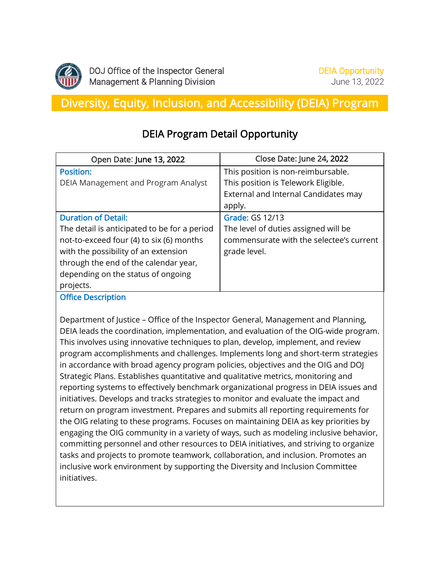

# Diversity, Equity, Inclusion, and Accessibility (DEIA) Program

## DEIA Program Detail Opportunity

| Open Date: June 13, 2022                     | Close Date: June 24, 2022                |
|----------------------------------------------|------------------------------------------|
| <b>Position:</b>                             | This position is non-reimbursable.       |
| DEIA Management and Program Analyst          | This position is Telework Eligible.      |
|                                              | External and Internal Candidates may     |
|                                              | apply.                                   |
| <b>Duration of Detail:</b>                   | <b>Grade: GS 12/13</b>                   |
| The detail is anticipated to be for a period | The level of duties assigned will be     |
| not-to-exceed four (4) to six (6) months     | commensurate with the selectee's current |
| with the possibility of an extension         | grade level.                             |
| through the end of the calendar year,        |                                          |
| depending on the status of ongoing           |                                          |
| projects.                                    |                                          |

Office Description

Department of Justice – Office of the Inspector General, Management and Planning, DEIA leads the coordination, implementation, and evaluation of the OIG-wide program. This involves using innovative techniques to plan, develop, implement, and review program accomplishments and challenges. Implements long and short-term strategies in accordance with broad agency program policies, objectives and the OIG and DOJ Strategic Plans. Establishes quantitative and qualitative metrics, monitoring and reporting systems to effectively benchmark organizational progress in DEIA issues and initiatives. Develops and tracks strategies to monitor and evaluate the impact and return on program investment. Prepares and submits all reporting requirements for the OIG relating to these programs. Focuses on maintaining DEIA as key priorities by engaging the OIG community in a variety of ways, such as modeling inclusive behavior, committing personnel and other resources to DEIA initiatives, and striving to organize tasks and projects to promote teamwork, collaboration, and inclusion. Promotes an inclusive work environment by supporting the Diversity and Inclusion Committee initiatives.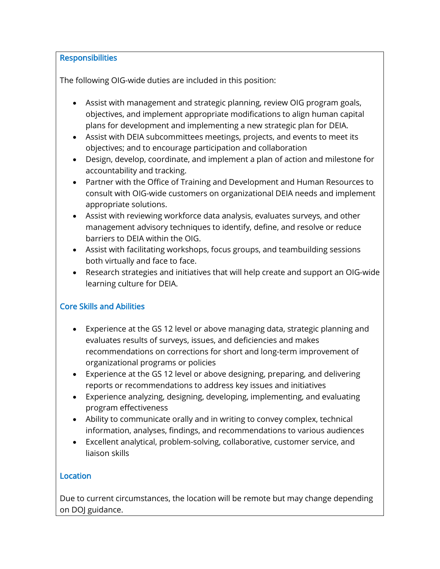#### **Responsibilities**

The following OIG-wide duties are included in this position:

- Assist with management and strategic planning, review OIG program goals, objectives, and implement appropriate modifications to align human capital plans for development and implementing a new strategic plan for DEIA.
- Assist with DEIA subcommittees meetings, projects, and events to meet its objectives; and to encourage participation and collaboration
- Design, develop, coordinate, and implement a plan of action and milestone for accountability and tracking.
- Partner with the Office of Training and Development and Human Resources to consult with OIG-wide customers on organizational DEIA needs and implement appropriate solutions.
- Assist with reviewing workforce data analysis, evaluates surveys, and other management advisory techniques to identify, define, and resolve or reduce barriers to DEIA within the OIG.
- Assist with facilitating workshops, focus groups, and teambuilding sessions both virtually and face to face.
- Research strategies and initiatives that will help create and support an OIG-wide learning culture for DEIA.

### Core Skills and Abilities

- Experience at the GS 12 level or above managing data, strategic planning and evaluates results of surveys, issues, and deficiencies and makes recommendations on corrections for short and long-term improvement of organizational programs or policies
- Experience at the GS 12 level or above designing, preparing, and delivering reports or recommendations to address key issues and initiatives
- Experience analyzing, designing, developing, implementing, and evaluating program effectiveness
- Ability to communicate orally and in writing to convey complex, technical information, analyses, findings, and recommendations to various audiences
- Excellent analytical, problem-solving, collaborative, customer service, and liaison skills

### **Location**

Due to current circumstances, the location will be remote but may change depending on DOJ guidance.